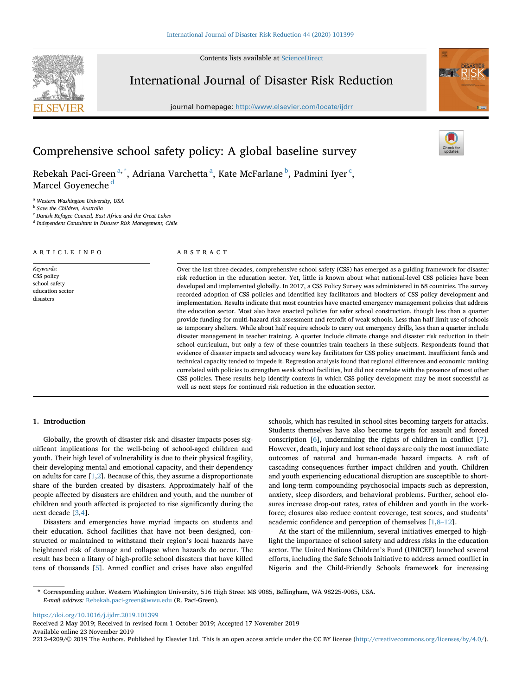Contents lists available at [ScienceDirect](www.sciencedirect.com/science/journal/22124209)



International Journal of Disaster Risk Reduction

journal homepage: [http://www.elsevier.com/locate/ijdrr](https://http://www.elsevier.com/locate/ijdrr) 



# Comprehensive school safety policy: A global baseline survey

Rebekah Paci-Green<sup>a,\*</sup>, Adriana Varchetta<sup>a</sup>, Kate McFarlane<sup>b</sup>, Padmini Iyer<sup>c</sup>, Marcel Goyeneche<sup>d</sup>

<sup>a</sup> *Western Washington University, USA* 

<sup>b</sup> *Save the Children, Australia* 

<sup>c</sup> *Danish Refugee Council, East Africa and the Great Lakes* 

<sup>d</sup> *Independent Consultant in Disaster Risk Management, Chile* 

## ARTICLE INFO

*Keywords:*  CSS policy school safety education sector disasters

### ABSTRACT

Over the last three decades, comprehensive school safety (CSS) has emerged as a guiding framework for disaster risk reduction in the education sector. Yet, little is known about what national-level CSS policies have been developed and implemented globally. In 2017, a CSS Policy Survey was administered in 68 countries. The survey recorded adoption of CSS policies and identified key facilitators and blockers of CSS policy development and implementation. Results indicate that most countries have enacted emergency management policies that address the education sector. Most also have enacted policies for safer school construction, though less than a quarter provide funding for multi-hazard risk assessment and retrofit of weak schools. Less than half limit use of schools as temporary shelters. While about half require schools to carry out emergency drills, less than a quarter include disaster management in teacher training. A quarter include climate change and disaster risk reduction in their school curriculum, but only a few of these countries train teachers in these subjects. Respondents found that evidence of disaster impacts and advocacy were key facilitators for CSS policy enactment. Insufficient funds and technical capacity tended to impede it. Regression analysis found that regional differences and economic ranking correlated with policies to strengthen weak school facilities, but did not correlate with the presence of most other CSS policies. These results help identify contexts in which CSS policy development may be most successful as well as next steps for continued risk reduction in the education sector.

## **1. Introduction**

Globally, the growth of disaster risk and disaster impacts poses significant implications for the well-being of school-aged children and youth. Their high level of vulnerability is due to their physical fragility, their developing mental and emotional capacity, and their dependency on adults for care [\[1,2](#page-9-0)]. Because of this, they assume a disproportionate share of the burden created by disasters. Approximately half of the people affected by disasters are children and youth, and the number of children and youth affected is projected to rise significantly during the next decade [[3,4\]](#page-9-0).

Disasters and emergencies have myriad impacts on students and their education. School facilities that have not been designed, constructed or maintained to withstand their region's local hazards have heightened risk of damage and collapse when hazards do occur. The result has been a litany of high-profile school disasters that have killed tens of thousands [[5](#page-9-0)]. Armed conflict and crises have also engulfed schools, which has resulted in school sites becoming targets for attacks. Students themselves have also become targets for assault and forced conscription [\[6\]](#page-9-0), undermining the rights of children in conflict [[7](#page-9-0)]. However, death, injury and lost school days are only the most immediate outcomes of natural and human-made hazard impacts. A raft of cascading consequences further impact children and youth. Children and youth experiencing educational disruption are susceptible to shortand long-term compounding psychosocial impacts such as depression, anxiety, sleep disorders, and behavioral problems. Further, school closures increase drop-out rates, rates of children and youth in the workforce; closures also reduce content coverage, test scores, and students' academic confidence and perception of themselves [[1](#page-9-0),8–[12\]](#page-9-0).

At the start of the millennium, several initiatives emerged to highlight the importance of school safety and address risks in the education sector. The United Nations Children's Fund (UNICEF) launched several efforts, including the Safe Schools Initiative to address armed conflict in Nigeria and the Child-Friendly Schools framework for increasing

<https://doi.org/10.1016/j.ijdrr.2019.101399>

Available online 23 November 2019 Received 2 May 2019; Received in revised form 1 October 2019; Accepted 17 November 2019

<sup>\*</sup> Corresponding author. Western Washington University, 516 High Street MS 9085, Bellingham, WA 98225-9085, USA. *E-mail address:* [Rebekah.paci-green@wwu.edu](mailto:Rebekah.paci-green@wwu.edu) (R. Paci-Green).

<sup>2212-4209/© 2019</sup> The Authors. Published by Elsevier Ltd. This is an open access article under the CC BY license [\(http://creativecommons.org/licenses/by/4.0/\)](http://creativecommons.org/licenses/by/4.0/).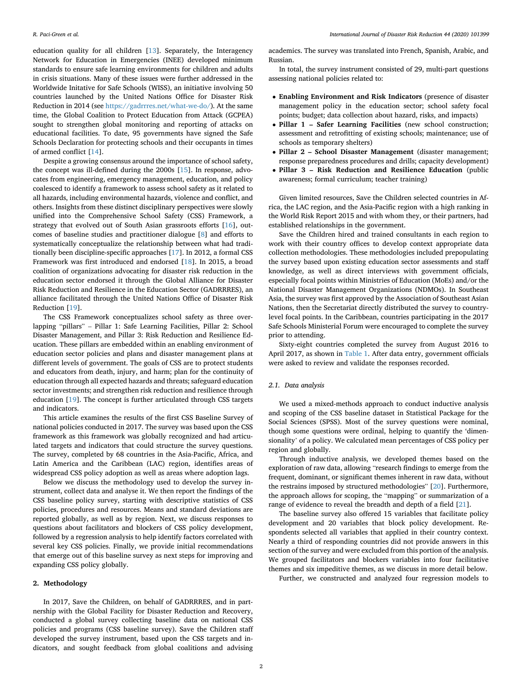education quality for all children [[13](#page-9-0)]. Separately, the Interagency Network for Education in Emergencies (INEE) developed minimum standards to ensure safe learning environments for children and adults in crisis situations. Many of these issues were further addressed in the Worldwide Initative for Safe Schools (WISS), an initiative involving 50 countries launched by the United Nations Office for Disaster Risk Reduction in 2014 (see<https://gadrrres.net/what-we-do/>). At the same time, the Global Coalition to Protect Education from Attack (GCPEA) sought to strengthen global monitoring and reporting of attacks on educational facilities. To date, 95 governments have signed the Safe Schools Declaration for protecting schools and their occupants in times of armed conflict [[14\]](#page-9-0).

Despite a growing consensus around the importance of school safety, the concept was ill-defined during the 2000s [[15](#page-9-0)]. In response, advocates from engineering, emergency management, education, and policy coalesced to identify a framework to assess school safety as it related to all hazards, including environmental hazards, violence and conflict, and others. Insights from these distinct disciplinary perspectives were slowly unified into the Comprehensive School Safety (CSS) Framework, a strategy that evolved out of South Asian grassroots efforts [[16\]](#page-9-0), outcomes of baseline studies and practitioner dialogue [\[8\]](#page-9-0) and efforts to systematically conceptualize the relationship between what had traditionally been discipline-specific approaches [[17\]](#page-9-0). In 2012, a formal CSS Framework was first introduced and endorsed [\[18](#page-9-0)]. In 2015, a broad coalition of organizations advocating for disaster risk reduction in the education sector endorsed it through the Global Alliance for Disaster Risk Reduction and Resilience in the Education Sector (GADRRRES), an alliance facilitated through the United Nations Office of Disaster Risk Reduction [\[19](#page-9-0)].

The CSS Framework conceptualizes school safety as three overlapping "pillars" – Pillar 1: Safe Learning Facilities, Pillar 2: School Disaster Management, and Pillar 3: Risk Reduction and Resilience Education. These pillars are embedded within an enabling environment of education sector policies and plans and disaster management plans at different levels of government. The goals of CSS are to protect students and educators from death, injury, and harm; plan for the continuity of education through all expected hazards and threats; safeguard education sector investments; and strengthen risk reduction and resilience through education [\[19](#page-9-0)]. The concept is further articulated through CSS targets and indicators.

This article examines the results of the first CSS Baseline Survey of national policies conducted in 2017. The survey was based upon the CSS framework as this framework was globally recognized and had articulated targets and indicators that could structure the survey questions. The survey, completed by 68 countries in the Asia-Pacific, Africa, and Latin America and the Caribbean (LAC) region, identifies areas of widespread CSS policy adoption as well as areas where adoption lags.

Below we discuss the methodology used to develop the survey instrument, collect data and analyse it. We then report the findings of the CSS baseline policy survey, starting with descriptive statistics of CSS policies, procedures and resources. Means and standard deviations are reported globally, as well as by region. Next, we discuss responses to questions about facilitators and blockers of CSS policy development, followed by a regression analysis to help identify factors correlated with several key CSS policies. Finally, we provide initial recommendations that emerge out of this baseline survey as next steps for improving and expanding CSS policy globally.

## **2. Methodology**

In 2017, Save the Children, on behalf of GADRRRES, and in partnership with the Global Facility for Disaster Reduction and Recovery, conducted a global survey collecting baseline data on national CSS policies and programs (CSS baseline survey). Save the Children staff developed the survey instrument, based upon the CSS targets and indicators, and sought feedback from global coalitions and advising academics. The survey was translated into French, Spanish, Arabic, and Russian.

In total, the survey instrument consisted of 29, multi-part questions assessing national policies related to:

- � **Enabling Environment and Risk Indicators** (presence of disaster management policy in the education sector; school safety focal points; budget; data collection about hazard, risks, and impacts)
- � **Pillar 1 Safer Learning Facilities** (new school construction; assessment and retrofitting of existing schools; maintenance; use of schools as temporary shelters)
- � **Pillar 2 School Disaster Management** (disaster management; response preparedness procedures and drills; capacity development)
- � **Pillar 3 Risk Reduction and Resilience Education** (public awareness; formal curriculum; teacher training)

Given limited resources, Save the Children selected countries in Africa, the LAC region, and the Asia-Pacific region with a high ranking in the World Risk Report 2015 and with whom they, or their partners, had established relationships in the government.

Save the Children hired and trained consultants in each region to work with their country offices to develop context appropriate data collection methodologies. These methodologies included prepopulating the survey based upon existing education sector assessments and staff knowledge, as well as direct interviews with government officials, especially focal points within Ministries of Education (MoEs) and/or the National Disaster Management Organizations (NDMOs). In Southeast Asia, the survey was first approved by the Association of Southeast Asian Nations, then the Secretariat directly distributed the survey to countrylevel focal points. In the Caribbean, countries participating in the 2017 Safe Schools Ministerial Forum were encouraged to complete the survey prior to attending.

Sixty-eight countries completed the survey from August 2016 to April 2017, as shown in [Table 1.](#page-2-0) After data entry, government officials were asked to review and validate the responses recorded.

## *2.1. Data analysis*

We used a mixed-methods approach to conduct inductive analysis and scoping of the CSS baseline dataset in Statistical Package for the Social Sciences (SPSS). Most of the survey questions were nominal, though some questions were ordinal, helping to quantify the 'dimensionality' of a policy. We calculated mean percentages of CSS policy per region and globally.

Through inductive analysis, we developed themes based on the exploration of raw data, allowing "research findings to emerge from the frequent, dominant, or significant themes inherent in raw data, without the restrains imposed by structured methodologies" [\[20](#page-9-0)]. Furthermore, the approach allows for scoping, the "mapping" or summarization of a range of evidence to reveal the breadth and depth of a field [[21\]](#page-9-0).

The baseline survey also offered 15 variables that facilitate policy development and 20 variables that block policy development. Respondents selected all variables that applied in their country context. Nearly a third of responding countries did not provide answers in this section of the survey and were excluded from this portion of the analysis. We grouped facilitators and blockers variables into four facilitative themes and six impeditive themes, as we discuss in more detail below.

Further, we constructed and analyzed four regression models to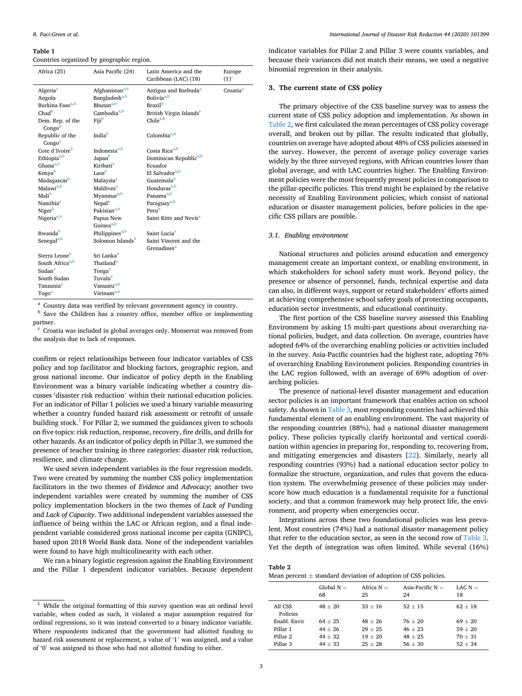<span id="page-2-0"></span>Countries organized by geographic region.

| Africa (25)                           | Asia Pacific (24)                  | Latin America and the<br>Caribbean (LAC) (18) | Europe<br>$(1)^c$    |
|---------------------------------------|------------------------------------|-----------------------------------------------|----------------------|
| Algeria <sup>a</sup>                  | Afghanistan <sup>a,b</sup>         | Antigua and Barbuda <sup>a</sup>              | Croatia <sup>a</sup> |
| Angola                                | Bangladesh <sup>a,b</sup>          | Bolivia <sup>a,b</sup>                        |                      |
| Burkina Faso <sup>a,b</sup>           | Bhutan <sup>a,b</sup>              | Brazil <sup>b</sup>                           |                      |
| Chad <sup>b</sup>                     | Cambodia <sup>a,b</sup>            | British Virgin Islands <sup>a</sup>           |                      |
| Dem. Rep. of the<br>Congob            | Fijib                              | Chile <sup>a,b</sup>                          |                      |
| Republic of the<br>Congo <sup>a</sup> | Indiab                             | Colombia <sup>a,b</sup>                       |                      |
| Cote d'Ivoire <sup>b</sup>            | Indonesia <sup>a,b</sup>           | Costa Rica <sup>a,b</sup>                     |                      |
| Ethiopia <sup>a,b</sup>               | Japan <sup>b</sup>                 | Dominican Republic <sup>a,b</sup>             |                      |
| Ghana <sup>a,b</sup>                  | Kiribati <sup>a</sup>              | Ecuador                                       |                      |
| Kenyab                                | $L$ aos $\overline{L}$             | El Salvador <sup>a, b</sup>                   |                      |
| Madagascar <sup>b</sup>               | Malaysia <sup>a</sup>              | Guatemala <sup>b</sup>                        |                      |
| Malawi <sup>a,b</sup>                 | Maldives <sup>a</sup>              | Honduras <sup>a,b</sup>                       |                      |
| Mali <sup>b</sup>                     | Myanmar <sup>a,b</sup>             | Panama <sup>a,b</sup>                         |                      |
| Namibia <sup>a</sup>                  | Nepal <sup>b</sup>                 | Paraguay <sup>a,b</sup>                       |                      |
| Nigerb                                | Pakistan <sup>a,b</sup>            | Perub                                         |                      |
| Nigeria <sup>a,b</sup>                | Papua New<br>Guinea <sup>a,b</sup> | Saint Kitts and Nevis <sup>a</sup>            |                      |
| Rwanda <sup>b</sup>                   | Philippines <sup>a,b</sup>         | Saint Lucia <sup>a</sup>                      |                      |
| Senegal <sup>a,b</sup>                | Solomon Islands <sup>b</sup>       | Saint Vincent and the                         |                      |
|                                       |                                    | Grenadines <sup>a</sup>                       |                      |
| Sierra Leone <sup>b</sup>             | Sri Lanka <sup>b</sup>             |                                               |                      |
| South Africa <sup>a,b</sup>           | Thailand <sup>b</sup>              |                                               |                      |
| Sudan <sup>a</sup>                    | Tonga <sup>a</sup>                 |                                               |                      |
| South Sudan                           | Tuvalu <sup>a</sup>                |                                               |                      |
| Tanzania <sup>a</sup>                 | Vanuatu <sup>a, b</sup>            |                                               |                      |
| Togo <sup>a</sup>                     | Vietnam <sup>a,b</sup>             |                                               |                      |

<sup>a</sup> Country data was verified by relevant government agency in country. b Save the Children has a country office, member office or implementing partner.

Croatia was included in global averages only. Monserrat was removed from the analysis due to lack of responses.

confirm or reject relationships between four indicator variables of CSS policy and top facilitator and blocking factors, geographic region, and gross national income. Our indicator of policy depth in the Enabling Environment was a binary variable indicating whether a country discusses 'disaster risk reduction' within their national education policies. For an indicator of Pillar 1 policies we used a binary variable measuring whether a country funded hazard risk assessment or retrofit of unsafe building stock.<sup>1</sup> For Pillar 2, we summed the guidances given to schools on five topics: risk reduction, response, recovery, fire drills, and drills for other hazards. As an indicator of policy depth in Pillar 3, we summed the presence of teacher training in three categories: disaster risk reduction, resilience, and climate change.

We used seven independent variables in the four regression models. Two were created by summing the number CSS policy implementation facilitators in the two themes of *Evidence* and *Advocacy*; another two independent variables were created by summing the number of CSS policy implementation blockers in the two themes of *Lack of* Funding and *Lack of Capacity*. Two additional independent variables assessed the influence of being within the LAC or African region, and a final independent variable considered gross national income per capita (GNIPC), based upon 2018 World Bank data. None of the independent variables were found to have high multicolinearity with each other.

We ran a binary logistic regression against the Enabling Environment and the Pillar 1 dependent indicator variables. Because dependent

indicator variables for Pillar 2 and Pillar 3 were counts variables, and because their variances did not match their means, we used a negative binomial regression in their analysis.

## **3. The current state of CSS policy**

The primary objective of the CSS baseline survey was to assess the current state of CSS policy adoption and implementation. As shown in Table 2, we first calculated the mean percentages of CSS policy coverage overall, and broken out by pillar. The results indicated that globally, countries on average have adopted about 48% of CSS policies assessed in the survey. However, the percent of average policy coverage varies widely by the three surveyed regions, with African countries lower than global average, and with LAC countries higher. The Enabling Environment policies were the most frequently present policies in comparison to the pillar-specific policies. This trend might be explained by the relative necessity of Enabling Environment policies, which consist of national education or disaster management policies, before policies in the specific CSS pillars are possible.

# *3.1. Enabling environment*

National structures and policies around education and emergency management create an important context, or enabling environment, in which stakeholders for school safety must work. Beyond policy, the presence or absence of personnel, funds, technical expertise and data can also, in different ways, support or retard stakeholders' efforts aimed at achieving comprehensive school safety goals of protecting occupants, education sector investments, and educational continuity.

The first portion of the CSS baseline survey assessed this Enabling Environment by asking 15 multi-part questions about overarching national policies, budget, and data collection. On average, countries have adopted 64% of the overarching enabling policies or activities included in the survey. Asia-Pacific countries had the highest rate, adopting 76% of overarching Enabling Environment policies. Responding countries in the LAC region followed, with an average of 69% adoption of overarching policies.

The presence of national-level disaster management and education sector policies is an important framework that enables action on school safety. As shown in [Table 3,](#page-3-0) most responding countries had achieved this fundamental element of an enabling environment. The vast majority of the responding countries (88%), had a national disaster management policy. These policies typically clarify horizontal and vertical coordination within agencies in preparing for, responding to, recovering from, and mitigating emergencies and disasters [\[22](#page-9-0)]. Similarly, nearly all responding countries (93%) had a national education sector policy to formalize the structure, organization, and rules that govern the education system. The overwhelming presence of these policies may underscore how much education is a fundamental requisite for a functional society, and that a common framework may help protect life, the environment, and property when emergencies occur.

Integrations across these two foundational policies was less prevalent. Most countries (74%) had a national disaster management policy that refer to the education sector, as seen in the second row of [Table 3](#page-3-0). Yet the depth of integration was often limited. While several (16%)

| ble 2 |  |  |  |
|-------|--|--|--|
|-------|--|--|--|

**Ta** 

Mean percent  $\pm$  standard deviation of adoption of CSS policies.

|                     | $Global N =$<br>68 | Africa $N =$<br>25 | Asia-Pacific $N =$<br>24 | LAC $N =$<br>18 |
|---------------------|--------------------|--------------------|--------------------------|-----------------|
| All CSS<br>Policies | $48 + 20$          | $33 + 16$          | $52 + 15$                | $62 + 18$       |
| Enabl. Envir        | $64 + 25$          | $48 + 26$          | $76 + 20$                | $69 + 20$       |
| Pillar 1            | $44 + 26$          | $29 + 25$          | $46 + 23$                | $59 + 20$       |
| Pillar <sub>2</sub> | $44 + 32$          | $19 + 20$          | $48 + 25$                | $70 \pm 31$     |
| Pillar <sub>3</sub> | $44 + 33$          | $25 + 28$          | $56 + 30$                | $52 + 34$       |

 $1$  While the original formatting of this survey question was an ordinal level variable, when coded as such, it violated a major assumption required for ordinal regressions, so it was instead converted to a binary indicator variable. Where respondents indicated that the government had allotted funding to hazard risk assessment or replacement, a value of '1' was assigned, and a value of '0' was assigned to those who had not allotted funding to either.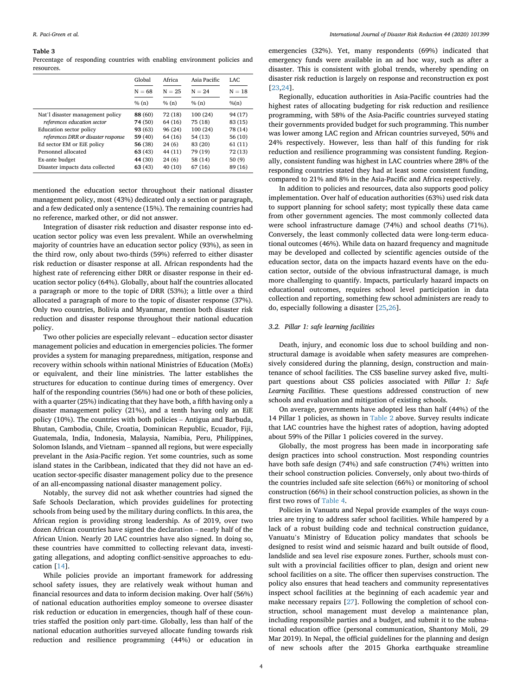<span id="page-3-0"></span>Percentage of responding countries with enabling environment policies and resources.

|                                     | Global   | Africa   | Asia Pacific | LAC.     |
|-------------------------------------|----------|----------|--------------|----------|
|                                     | $N = 68$ | $N = 25$ | $N = 24$     | $N = 18$ |
|                                     | % (n)    | % (n)    | % (n)        | % (n)    |
| Nat'l disaster management policy    | 88 (60)  | 72 (18)  | 100(24)      | 94 (17)  |
| references education sector         | 74 (50)  | 64 (16)  | 75 (18)      | 83 (15)  |
| Education sector policy             | 93 (63)  | 96 (24)  | 100 (24)     | 78 (14)  |
| references DRR or disaster response | 59 (40)  | 64 (16)  | 54 (13)      | 56 (10)  |
| Ed sector EM or EiE policy          | 56 (38)  | 24(6)    | 83 (20)      | 61 (11)  |
| Personnel allocated                 | 63 (43)  | 44 (11)  | 79 (19)      | 72 (13)  |
| Ex-ante budget                      | 44 (30)  | 24(6)    | 58 (14)      | 50(9)    |
| Disaster impacts data collected     | 63 (43)  | 40 (10)  | 67 (16)      | 89 (16)  |

mentioned the education sector throughout their national disaster management policy, most (43%) dedicated only a section or paragraph, and a few dedicated only a sentence (15%). The remaining countries had no reference, marked other, or did not answer.

Integration of disaster risk reduction and disaster response into education sector policy was even less prevalent. While an overwhelming majority of countries have an education sector policy (93%), as seen in the third row, only about two-thirds (59%) referred to either disaster risk reduction or disaster response at all. African respondents had the highest rate of referencing either DRR or disaster response in their education sector policy (64%). Globally, about half the countries allocated a paragraph or more to the topic of DRR (53%); a little over a third allocated a paragraph of more to the topic of disaster response (37%). Only two countries, Bolivia and Myanmar, mention both disaster risk reduction and disaster response throughout their national education policy.

Two other policies are especially relevant – education sector disaster management policies and education in emergencies policies. The former provides a system for managing preparedness, mitigation, response and recovery within schools within national Ministries of Education (MoEs) or equivalent, and their line ministries. The latter establishes the structures for education to continue during times of emergency. Over half of the responding countries (56%) had one or both of these policies, with a quarter (25%) indicating that they have both, a fifth having only a disaster management policy (21%), and a tenth having only an EiE policy (10%). The countries with both policies – Antigua and Barbuda, Bhutan, Cambodia, Chile, Croatia, Dominican Republic, Ecuador, Fiji, Guatemala, India, Indonesia, Malaysia, Namibia, Peru, Philippines, Solomon Islands, and Vietnam – spanned all regions, but were especially prevelant in the Asia-Pacific region. Yet some countries, such as some island states in the Caribbean, indicated that they did not have an education sector-specific disaster management policy due to the presence of an all-encompassing national disaster management policy.

Notably, the survey did not ask whether countries had signed the Safe Schools Declaration, which provides guidelines for protecting schools from being used by the military during conflicts. In this area, the African region is providing strong leadership. As of 2019, over two dozen African countries have signed the declaration – nearly half of the African Union. Nearly 20 LAC countries have also signed. In doing so, these countries have committed to collecting relevant data, investigating allegations, and adopting conflict-sensitive approaches to education [\[14](#page-9-0)].

While policies provide an important framework for addressing school safety issues, they are relatively weak without human and financial resources and data to inform decision making. Over half (56%) of national education authorities employ someone to oversee disaster risk reduction or education in emergencies, though half of these countries staffed the position only part-time. Globally, less than half of the national education authorities surveyed allocate funding towards risk reduction and resilience programming (44%) or education in emergencies (32%). Yet, many respondents (69%) indicated that emergency funds were available in an ad hoc way, such as after a disaster. This is consistent with global trends, whereby spending on disaster risk reduction is largely on response and reconstruction ex post [[23,24](#page-9-0)].

Regionally, education authorities in Asia-Pacific countries had the highest rates of allocating budgeting for risk reduction and resilience programming, with 58% of the Asia-Pacific countries surveyed stating their governments provided budget for such programming. This number was lower among LAC region and African countries surveyed, 50% and 24% respectively. However, less than half of this funding for risk reduction and resilience programming was consistent funding. Regionally, consistent funding was highest in LAC countries where 28% of the responding countries stated they had at least some consistent funding, compared to 21% and 8% in the Asia-Pacific and Africa respectively.

In addition to policies and resources, data also supports good policy implementation. Over half of education authorities (63%) used risk data to support planning for school safety; most typically these data came from other government agencies. The most commonly collected data were school infrastructure damage (74%) and school deaths (71%). Conversely, the least commonly collected data were long-term educational outcomes (46%). While data on hazard frequency and magnitude may be developed and collected by scientific agencies outside of the education sector, data on the impacts hazard events have on the education sector, outside of the obvious infrastructural damage, is much more challenging to quantify. Impacts, particularly hazard impacts on educational outcomes, requires school level participation in data collection and reporting, something few school administers are ready to do, especially following a disaster [\[25,26](#page-9-0)].

# *3.2. Pillar 1: safe learning facilities*

Death, injury, and economic loss due to school building and nonstructural damage is avoidable when safety measures are comprehensively considered during the planning, design, construction and maintenance of school facilities. The CSS baseline survey asked five, multipart questions about CSS policies associated with *Pillar 1: Safe Learning Facilities*. These questions addressed construction of new schools and evaluation and mitigation of existing schools.

On average, governments have adopted less than half (44%) of the 14 Pillar 1 policies, as shown in [Table 2](#page-2-0) above. Survey results indicate that LAC countries have the highest rates of adoption, having adopted about 59% of the Pillar 1 policies covered in the survey.

Globally, the most progress has been made in incorporating safe design practices into school construction. Most responding countries have both safe design (74%) and safe construction (74%) written into their school construction policies. Conversely, only about two-thirds of the countries included safe site selection (66%) or monitoring of school construction (66%) in their school construction policies, as shown in the first two rows of [Table 4.](#page-4-0)

Policies in Vanuatu and Nepal provide examples of the ways countries are trying to address safer school facilities. While hampered by a lack of a robust building code and technical construction guidance, Vanuatu's Ministry of Education policy mandates that schools be designed to resist wind and seismic hazard and built outside of flood, landslide and sea level rise exposure zones. Further, schools must consult with a provincial facilities officer to plan, design and orient new school facilities on a site. The officer then supervises construction. The policy also ensures that head teachers and community representatives inspect school facilities at the beginning of each academic year and make necessary repairs [[27\]](#page-9-0). Following the completion of school construction, school management must develop a maintenance plan, including responsible parties and a budget, and submit it to the subnational education office (personal communication, Shantony Moli, 29 Mar 2019). In Nepal, the official guidelines for the planning and design of new schools after the 2015 Ghorka earthquake streamline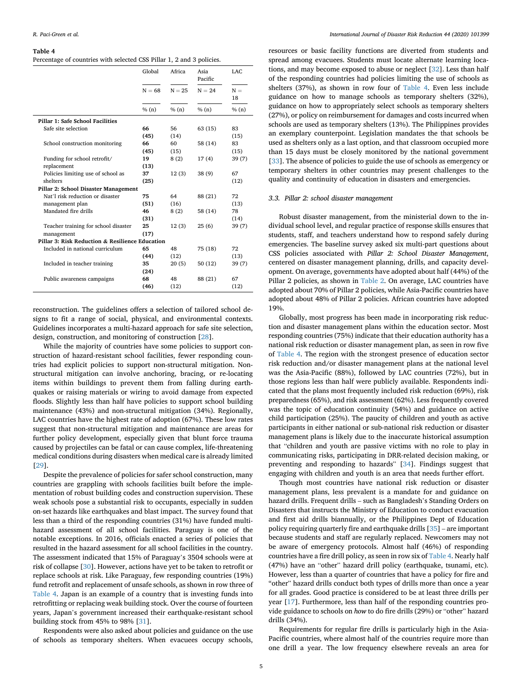<span id="page-4-0"></span>

| Percentage of countries with selected CSS Pillar 1, 2 and 3 policies. |  |  |  |  |
|-----------------------------------------------------------------------|--|--|--|--|
|-----------------------------------------------------------------------|--|--|--|--|

|                                                 | Global   | Africa   | Asia<br>Pacific | LAC.        |
|-------------------------------------------------|----------|----------|-----------------|-------------|
|                                                 | $N = 68$ | $N = 25$ | $N = 24$        | $N =$<br>18 |
|                                                 | % (n)    | % (n)    | % (n)           | % (n)       |
| Pillar 1: Safe School Facilities                |          |          |                 |             |
| Safe site selection                             | 66       | 56       | 63 (15)         | 83          |
|                                                 | (45)     | (14)     |                 | (15)        |
| School construction monitoring                  | 66       | 60       | 58 (14)         | 83          |
|                                                 | (45)     | (15)     |                 | (15)        |
| Funding for school retrofit/                    | 19       | 8(2)     | 17(4)           | 39 (7)      |
| replacement                                     | (13)     |          |                 |             |
| Policies limiting use of school as              | 37       | 12(3)    | 38 (9)          | 67          |
| shelters                                        | (25)     |          |                 | (12)        |
| Pillar 2: School Disaster Management            |          |          |                 |             |
| Nat'l risk reduction or disaster                | 75       | 64       | 88 (21)         | 72          |
| management plan                                 | (51)     | (16)     |                 | (13)        |
| Mandated fire drills                            | 46       | 8(2)     | 58 (14)         | 78          |
|                                                 | (31)     |          |                 | (14)        |
| Teacher training for school disaster            | 25       | 12(3)    | 25(6)           | 39 (7)      |
| management                                      | (17)     |          |                 |             |
| Pillar 3: Risk Reduction & Resilience Education |          |          |                 |             |
| Included in national curriculum                 | 65       | 48       | 75 (18)         | 72          |
|                                                 | (44)     | (12)     |                 | (13)        |
| Included in teacher training                    | 35       | 20(5)    | 50 (12)         | 39 (7)      |
|                                                 | (24)     |          |                 |             |
| Public awareness campaigns                      | 68       | 48       | 88 (21)         | 67          |
|                                                 | (46)     | (12)     |                 | (12)        |

reconstruction. The guidelines offers a selection of tailored school designs to fit a range of social, physical, and environmental contexts. Guidelines incorporates a multi-hazard approach for safe site selection, design, construction, and monitoring of construction [\[28](#page-9-0)].

While the majority of countries have some policies to support construction of hazard-resistant school facilities, fewer responding countries had explicit policies to support non-structural mitigation. Nonstructural mitigation can involve anchoring, bracing, or re-locating items within buildings to prevent them from falling during earthquakes or raising materials or wiring to avoid damage from expected floods. Slightly less than half have policies to support school building maintenance (43%) and non-structural mitigation (34%). Regionally, LAC countries have the highest rate of adoption (67%). These low rates suggest that non-structural mitigation and maintenance are areas for further policy development, especially given that blunt force trauma caused by projectiles can be fatal or can cause complex, life-threatening medical conditions during disasters when medical care is already limited [[29\]](#page-9-0).

Despite the prevalence of policies for safer school construction, many countries are grappling with schools facilities built before the implementation of robust building codes and construction supervision. These weak schools pose a substantial risk to occupants, especially in sudden on-set hazards like earthquakes and blast impact. The survey found that less than a third of the responding countries (31%) have funded multihazard assessment of all school facilities. Paraguay is one of the notable exceptions. In 2016, officials enacted a series of policies that resulted in the hazard assessment for all school facilities in the country. The assessment indicated that 15% of Paraguay's 3504 schools were at risk of collapse [[30\]](#page-9-0). However, actions have yet to be taken to retrofit or replace schools at risk. Like Paraguay, few responding countries (19%) fund retrofit and replacement of unsafe schools, as shown in row three of Table 4. Japan is an example of a country that is investing funds into retrofitting or replacing weak building stock. Over the course of fourteen years, Japan's government increased their earthquake-resistant school building stock from 45% to 98% [\[31](#page-9-0)].

Respondents were also asked about policies and guidance on the use of schools as temporary shelters. When evacuees occupy schools,

resources or basic facility functions are diverted from students and spread among evacuees. Students must locate alternate learning locations, and may become exposed to abuse or neglect [[32\]](#page-9-0). Less than half of the responding countries had policies limiting the use of schools as shelters (37%), as shown in row four of Table 4. Even less include guidance on how to manage schools as temporary shelters (32%), guidance on how to appropriately select schools as temporary shelters (27%), or policy on reimbursement for damages and costs incurred when schools are used as temporary shelters (13%). The Philippines provides an exemplary counterpoint. Legislation mandates the that schools be used as shelters only as a last option, and that classroom occupied more than 15 days must be closely monitored by the national government [[33\]](#page-9-0). The absence of policies to guide the use of schools as emergency or temporary shelters in other countries may present challenges to the quality and continuity of education in disasters and emergencies.

## *3.3. Pillar 2: school disaster management*

Robust disaster management, from the ministerial down to the individual school level, and regular practice of response skills ensures that students, staff, and teachers understand how to respond safely during emergencies. The baseline survey asked six multi-part questions about CSS policies associated with *Pillar 2: School Disaster Management*, centered on disaster management planning, drills, and capacity development. On average, governments have adopted about half (44%) of the Pillar 2 policies, as shown in [Table 2](#page-2-0). On average, LAC countries have adopted about 70% of Pillar 2 policies, while Asia-Pacific countries have adopted about 48% of Pillar 2 policies. African countries have adopted 19%.

Globally, most progress has been made in incorporating risk reduction and disaster management plans within the education sector. Most responding countries (75%) indicate that their education authority has a national risk reduction or disaster management plan, as seen in row five of Table 4. The region with the strongest presence of education sector risk reduction and/or disaster management plans at the national level was the Asia-Pacific (88%), followed by LAC countries (72%), but in those regions less than half were publicly available. Respondents indicated that the plans most frequently included risk reduction (69%), risk preparedness (65%), and risk assessment (62%). Less frequently covered was the topic of education continuity (54%) and guidance on active child participation (25%). The paucity of children and youth as active participants in either national or sub-national risk reduction or disaster management plans is likely due to the inaccurate historical assumption that "children and youth are passive victims with no role to play in communicating risks, participating in DRR-related decision making, or preventing and responding to hazards" [[34\]](#page-9-0). Findings suggest that engaging with children and youth is an area that needs further effort.

Though most countries have national risk reduction or disaster management plans, less prevalent is a mandate for and guidance on hazard drills. Frequent drills – such as Bangladesh's Standing Orders on Disasters that instructs the Ministry of Education to conduct evacuation and first aid drills biannually, or the Philippines Dept of Education policy requiring quarterly fire and earthquake drills [\[35](#page-10-0)] – are important because students and staff are regularly replaced. Newcomers may not be aware of emergency protocols. Almost half (46%) of responding countries have a fire drill policy, as seen in row six of Table 4. Nearly half (47%) have an "other" hazard drill policy (earthquake, tsunami, etc). However, less than a quarter of countries that have a policy for fire and "other" hazard drills conduct both types of drills more than once a year for all grades. Good practice is considered to be at least three drills per year [[17\]](#page-9-0). Furthermore, less than half of the responding countries provide guidance to schools on *how* to do fire drills (29%) or "other" hazard drills (34%).

Requirements for regular fire drills is particularly high in the Asia-Pacific countries, where almost half of the countries require more than one drill a year. The low frequency elsewhere reveals an area for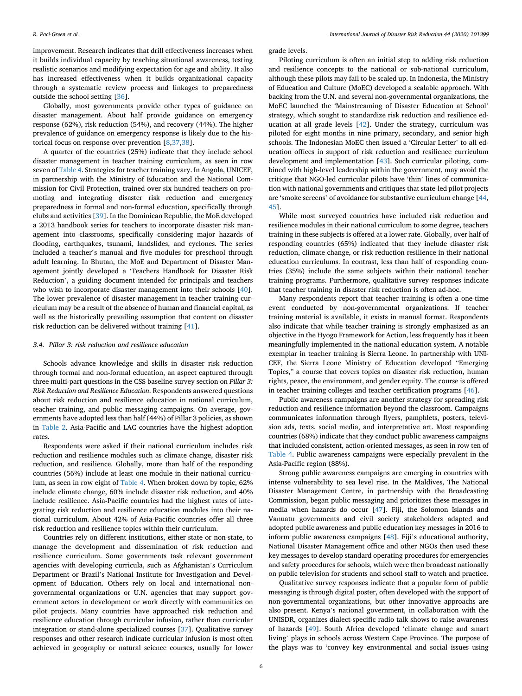improvement. Research indicates that drill effectiveness increases when it builds individual capacity by teaching situational awareness, testing realistic scenarios and modifying expectation for age and ability. It also has increased effectiveness when it builds organizational capacity through a systematic review process and linkages to preparedness outside the school setting [\[36](#page-10-0)].

Globally, most governments provide other types of guidance on disaster management. About half provide guidance on emergency response (62%), risk reduction (54%), and recovery (44%). The higher prevalence of guidance on emergency response is likely due to the historical focus on response over prevention [[8](#page-9-0)[,37,38](#page-10-0)].

A quarter of the countries (25%) indicate that they include school disaster management in teacher training curriculum, as seen in row seven of [Table 4](#page-4-0). Strategies for teacher training vary. In Angola, UNICEF, in partnership with the Ministry of Education and the National Commission for Civil Protection, trained over six hundred teachers on promoting and integrating disaster risk reduction and emergency preparedness in formal and non-formal education, specifically through clubs and activities [\[39](#page-10-0)]. In the Dominican Republic, the MoE developed a 2013 handbook series for teachers to incorporate disaster risk management into classrooms, specifically considering major hazards of flooding, earthquakes, tsunami, landslides, and cyclones. The series included a teacher's manual and five modules for preschool through adult learning. In Bhutan, the MoE and Department of Disaster Management jointly developed a 'Teachers Handbook for Disaster Risk Reduction', a guiding document intended for principals and teachers who wish to incorporate disaster management into their schools [\[40](#page-10-0)]. The lower prevalence of disaster management in teacher training curriculum may be a result of the absence of human and financial capital, as well as the historically prevailing assumption that content on disaster risk reduction can be delivered without training [\[41](#page-10-0)].

## *3.4. Pillar 3: risk reduction and resilience education*

Schools advance knowledge and skills in disaster risk reduction through formal and non-formal education, an aspect captured through three multi-part questions in the CSS baseline survey section on *Pillar 3: Risk Reduction and Resilience Education*. Respondents answered questions about risk reduction and resilience education in national curriculum, teacher training, and public messaging campaigns. On average, governments have adopted less than half (44%) of Pillar 3 policies, as shown in [Table 2.](#page-2-0) Asia-Pacific and LAC countries have the highest adoption rates.

Respondents were asked if their national curriculum includes risk reduction and resilience modules such as climate change, disaster risk reduction, and resilience. Globally, more than half of the responding countries (56%) include at least one module in their national curriculum, as seen in row eight of [Table 4.](#page-4-0) When broken down by topic, 62% include climate change, 60% include disaster risk reduction, and 40% include resilience. Asia-Pacific countries had the highest rates of integrating risk reduction and resilience education modules into their national curriculum. About 42% of Asia-Pacific countries offer all three risk reduction and resilience topics within their curriculum.

Countries rely on different institutions, either state or non-state, to manage the development and dissemination of risk reduction and resilience curriculum. Some governments task relevant government agencies with developing curricula, such as Afghanistan's Curriculum Department or Brazil's National Institute for Investigation and Development of Education. Others rely on local and international nongovernmental organizations or U.N. agencies that may support government actors in development or work directly with communities on pilot projects. Many countries have approached risk reduction and resilience education through curricular infusion, rather than curricular integration or stand-alone specialized courses [\[37](#page-10-0)]. Qualitative survey responses and other research indicate curricular infusion is most often achieved in geography or natural science courses, usually for lower

grade levels.

Piloting curriculum is often an initial step to adding risk reduction and resilience concepts to the national or sub-national curriculum, although these pilots may fail to be scaled up. In Indonesia, the Ministry of Education and Culture (MoEC) developed a scalable approach. With backing from the U.N. and several non-governmental organizations, the MoEC launched the 'Mainstreaming of Disaster Education at School' strategy, which sought to standardize risk reduction and resilience education at all grade levels [[42\]](#page-10-0). Under the strategy, curriculum was piloted for eight months in nine primary, secondary, and senior high schools. The Indonesian MoEC then issued a 'Circular Letter' to all education offices in support of risk reduction and resilience curriculum development and implementation [\[43](#page-10-0)]. Such curricular piloting, combined with high-level leadership within the government, may avoid the critique that NGO-led curricular pilots have 'thin' lines of communication with national governments and critiques that state-led pilot projects are 'smoke screens' of avoidance for substantive curriculum change [\[44](#page-10-0), [45\]](#page-10-0).

While most surveyed countries have included risk reduction and resilience modules in their national curriculum to some degree, teachers training in these subjects is offered at a lower rate. Globally, over half of responding countries (65%) indicated that they include disaster risk reduction, climate change, or risk reduction resilience in their national education curriculums. In contrast, less than half of responding countries (35%) include the same subjects within their national teacher training programs. Furthermore, qualitative survey responses indicate that teacher training in disaster risk reduction is often ad-hoc.

Many respondents report that teacher training is often a one-time event conducted by non-governmental organizations. If teacher training material is available, it exists in manual format. Respondents also indicate that while teacher training is strongly emphasized as an objective in the Hyogo Framework for Action, less frequently has it been meaningfully implemented in the national education system. A notable exemplar in teacher training is Sierra Leone. In partnership with UNI-CEF, the Sierra Leone Ministry of Education developed "Emerging Topics," a course that covers topics on disaster risk reduction, human rights, peace, the environment, and gender equity. The course is offered in teacher training colleges and teacher certification programs [[46\]](#page-10-0).

Public awareness campaigns are another strategy for spreading risk reduction and resilience information beyond the classroom. Campaigns communicates information through flyers, pamphlets, posters, television ads, texts, social media, and interpretative art. Most responding countries (68%) indicate that they conduct public awareness campaigns that included consistent, action-oriented messages, as seen in row ten of [Table 4.](#page-4-0) Public awareness campaigns were especially prevalent in the Asia-Pacific region (88%).

Strong public awareness campaigns are emerging in countries with intense vulnerability to sea level rise. In the Maldives, The National Disaster Management Centre, in partnership with the Broadcasting Commission, began public messaging and prioritizes these messages in media when hazards do occur [\[47](#page-10-0)]. Fiji, the Solomon Islands and Vanuatu governments and civil society stakeholders adapted and adopted public awareness and public education key messages in 2016 to inform public awareness campaigns [[48\]](#page-10-0). Fiji's educational authority, National Disaster Management office and other NGOs then used these key messages to develop standard operating procedures for emergencies and safety procedures for schools, which were then broadcast nationally on public television for students and school staff to watch and practice.

Qualitative survey responses indicate that a popular form of public messaging is through digital poster, often developed with the support of non-governmental organizations, but other innovative approachs are also present. Kenya's national government, in collaboration with the UNISDR, organizes dialect-specific radio talk shows to raise awareness of hazards [[49\]](#page-10-0). South Africa developed 'climate change and smart living' plays in schools across Western Cape Province. The purpose of the plays was to 'convey key environmental and social issues using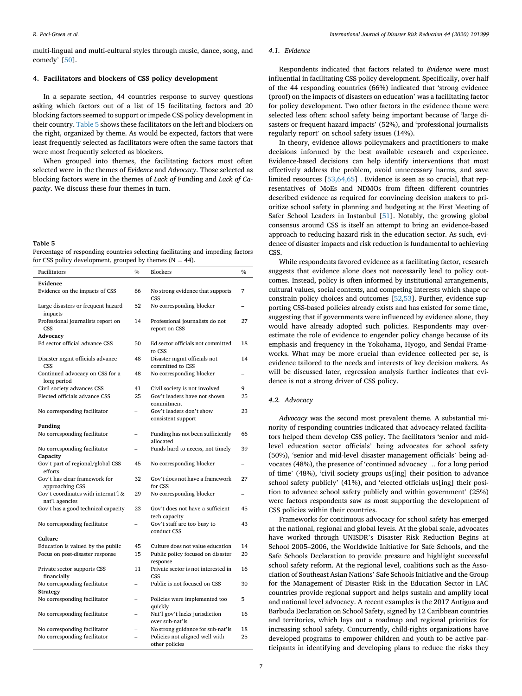multi-lingual and multi-cultural styles through music, dance, song, and comedy' [\[50](#page-10-0)].

# **4. Facilitators and blockers of CSS policy development**

In a separate section, 44 countries response to survey questions asking which factors out of a list of 15 facilitating factors and 20 blocking factors seemed to support or impede CSS policy development in their country. Table 5 shows these facilitators on the left and blockers on the right, organized by theme. As would be expected, factors that were least frequently selected as facilitators were often the same factors that were most frequently selected as blockers.

When grouped into themes, the facilitating factors most often selected were in the themes of *Evidence* and *Advocacy*. Those selected as blocking factors were in the themes of *Lack of* Funding and *Lack of Capacity*. We discuss these four themes in turn.

#### **Table 5**

Percentage of responding countries selecting facilitating and impeding factors for CSS policy development, grouped by themes ( $N = 44$ ).

| Facilitators                                          | $\%$           | <b>Blockers</b>                                   | $\%$ |
|-------------------------------------------------------|----------------|---------------------------------------------------|------|
| Evidence                                              |                |                                                   |      |
| Evidence on the impacts of CSS                        | 66             | No strong evidence that supports<br><b>CSS</b>    | 7    |
| Large disasters or frequent hazard<br>impacts         | 52             | No corresponding blocker                          |      |
| Professional journalists report on<br><b>CSS</b>      | 14             | Professional journalists do not<br>report on CSS  | 27   |
| Advocacy                                              |                |                                                   |      |
| Ed sector official advance CSS                        | 50             | Ed sector officials not committed<br>to CSS       | 18   |
| Disaster mgmt officials advance<br><b>CSS</b>         | 48             | Disaster mgmt officials not<br>committed to CSS   | 14   |
| Continued advocacy on CSS for a<br>long period        | 48             | No corresponding blocker                          |      |
| Civil society advances CSS                            | 41             | Civil society is not involved                     | 9    |
| Elected officials advance CSS                         | 25             | Gov't leaders have not shown<br>commitment        | 25   |
| No corresponding facilitator                          |                | Gov't leaders don't show<br>consistent support    | 23   |
| Funding                                               |                |                                                   |      |
| No corresponding facilitator                          | $\overline{a}$ | Funding has not been sufficiently<br>allocated    | 66   |
| No corresponding facilitator                          |                | Funds hard to access, not timely                  | 39   |
| Capacity                                              |                |                                                   |      |
| Gov't part of regional/global CSS<br>efforts          | 45             | No corresponding blocker                          |      |
| Gov't has clear framework for<br>approaching CSS      | 32             | Gov't does not have a framework<br>for CSS        | 27   |
| Gov't coordinates with internat'l &<br>nat'l agencies | 29             | No corresponding blocker                          |      |
| Gov't has a good technical capacity                   | 23             | Gov't does not have a sufficient<br>tech capacity | 45   |
| No corresponding facilitator                          |                | Gov't staff are too busy to<br>conduct CSS        | 43   |
| Culture                                               |                |                                                   |      |
| Education is valued by the public                     | 45             | Culture does not value education                  | 14   |
| Focus on post-disaster response                       | 15             | Public policy focused on disaster<br>response     | 20   |
| Private sector supports CSS<br>financially            | 11             | Private sector is not interested in<br>CSS        | 16   |
| No corresponding facilitator                          | -              | Public is not focused on CSS                      | 30   |
| <b>Strategy</b>                                       |                |                                                   |      |
| No corresponding facilitator                          |                | Policies were implemented too<br>quickly          | 5    |
| No corresponding facilitator                          |                | Nat'l gov't lacks jurisdiction<br>over sub-nat'ls | 16   |
| No corresponding facilitator                          |                | No strong guidance for sub-nat'ls                 | 18   |
| No corresponding facilitator                          |                | Policies not aligned well with<br>other policies  | 25   |

#### *4.1. Evidence*

Respondents indicated that factors related to *Evidence* were most influential in facilitating CSS policy development. Specifically, over half of the 44 responding countries (66%) indicated that 'strong evidence (proof) on the impacts of disasters on education' was a facilitating factor for policy development. Two other factors in the evidence theme were selected less often: school safety being important because of 'large disasters or frequent hazard impacts' (52%), and 'professional journalists regularly report' on school safety issues (14%).

In theory, evidence allows policymakers and practitioners to make decisions informed by the best available research and experience. Evidence-based decisions can help identify interventions that most effectively address the problem, avoid unnecessary harms, and save limited resources [[53,64,65](#page-10-0)] . Evidence is seen as so crucial, that representatives of MoEs and NDMOs from fifteen different countries described evidence as required for convincing decision makers to prioritize school safety in planning and budgeting at the First Meeting of Safer School Leaders in Instanbul [\[51](#page-10-0)]. Notably, the growing global consensus around CSS is itself an attempt to bring an evidence-based approach to reducing hazard risk in the education sector. As such, evidence of disaster impacts and risk reduction is fundamental to achieving CSS.

While respondents favored evidence as a facilitating factor, research suggests that evidence alone does not necessarily lead to policy outcomes. Instead, policy is often informed by institutional arrangements, cultural values, social contexts, and competing interests which shape or constrain policy choices and outcomes [[52,53\]](#page-10-0). Further, evidence supporting CSS-based policies already exists and has existed for some time, suggesting that if governments were influenced by evidence alone, they would have already adopted such policies. Respondents may overestimate the role of evidence to engender policy change because of its emphasis and frequency in the Yokohama, Hyogo, and Sendai Frameworks. What may be more crucial than evidence collected per se, is evidence tailored to the needs and interests of key decision makers. As will be discussed later, regression analysis further indicates that evidence is not a strong driver of CSS policy.

# *4.2. Advocacy*

*Advocacy* was the second most prevalent theme. A substantial minority of responding countries indicated that advocacy-related facilitators helped them develop CSS policy. The facilitators 'senior and midlevel education sector officials' being advocates for school safety (50%), 'senior and mid-level disaster management officials' being advocates (48%), the presence of 'continued advocacy … for a long period of time' (48%), 'civil society groups us[ing] their position to advance school safety publicly' (41%), and 'elected officials us[ing] their position to advance school safety publicly and within government' (25%) were factors respondents saw as most supporting the development of CSS policies within their countries.

Frameworks for continuous advocacy for school safety has emerged at the national, regional and global levels. At the global scale, advocates have worked through UNISDR's Disaster Risk Reduction Begins at School 2005–2006, the Worldwide Initiative for Safe Schools, and the Safe Schools Declaration to provide pressure and highlight successful school safety reform. At the regional level, coalitions such as the Association of Southeast Asian Nations' Safe Schools Initiative and the Group for the Management of Disaster Risk in the Education Sector in LAC countries provide regional support and helps sustain and amplify local and national level advocacy. A recent examples is the 2017 Antigua and Barbuda Declaration on School Safety, signed by 12 Caribbean countries and territories, which lays out a roadmap and regional priorities for increasing school safety. Concurrently, child-rights organizations have developed programs to empower children and youth to be active participants in identifying and developing plans to reduce the risks they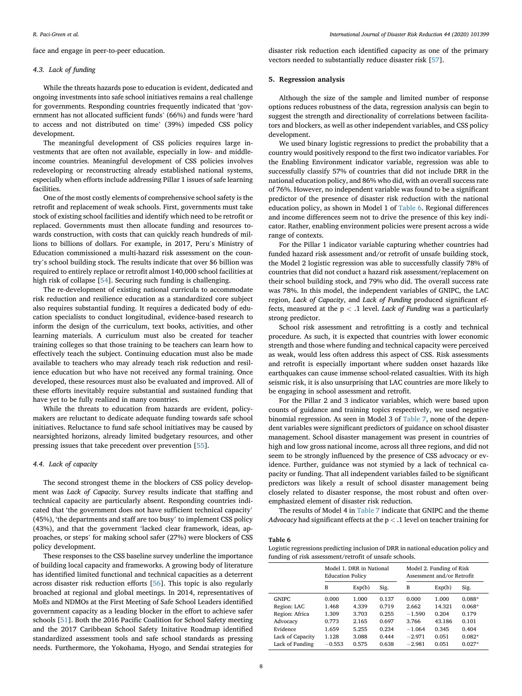face and engage in peer-to-peer education.

# *4.3. Lack of funding*

While the threats hazards pose to education is evident, dedicated and ongoing investments into safe school initiatives remains a real challenge for governments. Responding countries frequently indicated that 'government has not allocated sufficient funds' (66%) and funds were 'hard to access and not distributed on time' (39%) impeded CSS policy development.

The meaningful development of CSS policies requires large investments that are often not available, especially in low- and middleincome countries. Meaningful development of CSS policies involves redeveloping or reconstructing already established national systems, especially when efforts include addressing Pillar 1 issues of safe learning facilities.

One of the most costly elements of comprehensive school safety is the retrofit and replacement of weak schools. First, governments must take stock of existing school facilities and identify which need to be retrofit or replaced. Governments must then allocate funding and resources towards construction, with costs that can quickly reach hundreds of millions to billions of dollars. For example, in 2017, Peru's Ministry of Education commissioned a multi-hazard risk assessment on the country's school building stock. The results indicate that over \$6 billion was required to entirely replace or retrofit almost 140,000 school facilities at high risk of collapse [[54\]](#page-10-0). Securing such funding is challenging.

The re-development of existing national curricula to accommodate risk reduction and resilience education as a standardized core subject also requires substantial funding. It requires a dedicated body of education specialists to conduct longitudinal, evidence-based research to inform the design of the curriculum, text books, activities, and other learning materials. A curriculum must also be created for teacher training colleges so that those training to be teachers can learn how to effectively teach the subject. Continuing education must also be made available to teachers who may already teach risk reduction and resilience education but who have not received any formal training. Once developed, these resources must also be evaluated and improved. All of these efforts inevitably require substantial and sustained funding that have yet to be fully realized in many countries.

While the threats to education from hazards are evident, policymakers are reluctant to dedicate adequate funding towards safe school initiatives. Reluctance to fund safe school initiatives may be caused by nearsighted horizons, already limited budgetary resources, and other pressing issues that take precedent over prevention [\[55](#page-10-0)].

# *4.4. Lack of capacity*

The second strongest theme in the blockers of CSS policy development was *Lack of Capacity.* Survey results indicate that staffing and technical capacity are particularly absent. Responding countries indicated that 'the government does not have sufficient technical capacity' (45%), 'the departments and staff are too busy' to implement CSS policy (43%), and that the government 'lacked clear framework, ideas, approaches, or steps' for making school safer (27%) were blockers of CSS policy development.

These responses to the CSS baseline survey underline the importance of building local capacity and frameworks. A growing body of literature has identified limited functional and technical capacities as a deterrent across disaster risk reduction efforts [\[56](#page-10-0)]. This topic is also regularly broached at regional and global meetings. In 2014, representatives of MoEs and NDMOs at the First Meeting of Safe School Leaders identified government capacity as a leading blocker in the effort to achieve safer schools [[51\]](#page-10-0). Both the 2016 Pacific Coalition for School Safety meeting and the 2017 Caribbean School Safety Initative Roadmap identified standardized assessment tools and safe school standards as pressing needs. Furthermore, the Yokohama, Hyogo, and Sendai strategies for

disaster risk reduction each identified capacity as one of the primary vectors needed to substantially reduce disaster risk [[57\]](#page-10-0).

## **5. Regression analysis**

Although the size of the sample and limited number of response options reduces robustness of the data, regression analysis can begin to suggest the strength and directionality of correlations between facilitators and blockers, as well as other independent variables, and CSS policy development.

We used binary logistic regressions to predict the probability that a country would positively respond to the first two indicator variables. For the Enabling Environment indicator variable, regression was able to successfully classify 57% of countries that did not include DRR in the national education policy, and 86% who did, with an overall success rate of 76%. However, no independent variable was found to be a significant predictor of the presence of disaster risk reduction with the national education policy, as shown in Model 1 of Table 6. Regional differences and income differences seem not to drive the presence of this key indicator. Rather, enabling environment policies were present across a wide range of contexts.

For the Pillar 1 indicator variable capturing whether countries had funded hazard risk assessment and/or retrofit of unsafe building stock, the Model 2 logistic regression was able to successfully classify 78% of countries that did not conduct a hazard risk assessment/replacement on their school building stock, and 79% who did. The overall success rate was 78%. In this model, the independent variables of GNIPC, the LAC region, *Lack of Capacity*, and *Lack of Funding* produced significant effects, measured at the p *<* .1 level. *Lack of Funding* was a particularly strong predictor.

School risk assessment and retrofitting is a costly and technical procedure. As such, it is expected that countries with lower economic strength and those where funding and technical capacity were perceived as weak, would less often address this aspect of CSS. Risk assessments and retrofit is especially important where sudden onset hazards like earthquakes can cause immense school-related casualties. With its high seismic risk, it is also unsurprising that LAC countries are more likely to be engaging in school assessment and retrofit.

For the Pillar 2 and 3 indicator variables, which were based upon counts of guidance and training topics respectively, we used negative binomial regression. As seen in Model 3 of [Table 7](#page-8-0), none of the dependent variables were significant predictors of guidance on school disaster management. School disaster management was present in countries of high and low gross national income, across all three regions, and did not seem to be strongly influenced by the presence of CSS advocacy or evidence. Further, guidance was not stymied by a lack of technical capacity or funding. That all independent variables failed to be significant predictors was likely a result of school disaster management being closely related to disaster response, the most robust and often overemphasized element of disaster risk reduction.

The results of Model 4 in [Table 7](#page-8-0) indicate that GNIPC and the theme *Advocacy* had significant effects at the p *<* .1 level on teacher training for

#### **Table 6**

Logistic regressions predicting inclusion of DRR in national education policy and funding of risk assessment/retrofit of unsafe schools.

|                  | Model 1. DRR in National<br><b>Education Policy</b> |        | Model 2. Funding of Risk<br>Assessment and/or Retrofit |          |        |          |
|------------------|-----------------------------------------------------|--------|--------------------------------------------------------|----------|--------|----------|
|                  | B                                                   | Exp(b) | Sig.                                                   | B        | Exp(b) | Sig.     |
| <b>GNIPC</b>     | 0.000                                               | 1.000  | 0.137                                                  | 0.000    | 1.000  | $0.088*$ |
| Region: LAC      | 1.468                                               | 4.339  | 0.719                                                  | 2.662    | 14.321 | $0.068*$ |
| Region: Africa   | 1.309                                               | 3.703  | 0.255                                                  | $-1.590$ | 0.204  | 0.179    |
| Advocacy         | 0.773                                               | 2.165  | 0.697                                                  | 3.766    | 43.186 | 0.101    |
| Evidence         | 1.659                                               | 5.255  | 0.234                                                  | $-1.064$ | 0.345  | 0.404    |
| Lack of Capacity | 1.128                                               | 3.088  | 0.444                                                  | $-2.971$ | 0.051  | $0.082*$ |
| Lack of Funding  | $-0.553$                                            | 0.575  | 0.638                                                  | $-2.981$ | 0.051  | $0.027*$ |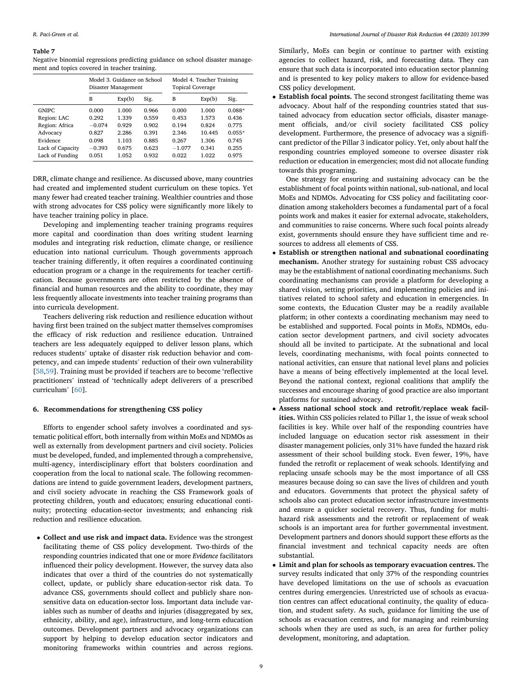<span id="page-8-0"></span>Negative binomial regressions predicting guidance on school disaster management and topics covered in teacher training.

|                  | Model 3. Guidance on School<br>Disaster Management |        | Model 4. Teacher Training<br><b>Topical Coverage</b> |          |        |          |
|------------------|----------------------------------------------------|--------|------------------------------------------------------|----------|--------|----------|
|                  | B                                                  | Exp(b) | Sig.                                                 | B        | Exp(b) | Sig.     |
| <b>GNIPC</b>     | 0.000                                              | 1.000  | 0.966                                                | 0.000    | 1.000  | $0.088*$ |
| Region: LAC      | 0.292                                              | 1.339  | 0.559                                                | 0.453    | 1.573  | 0.436    |
| Region: Africa   | $-0.074$                                           | 0.929  | 0.902                                                | 0.194    | 0.824  | 0.775    |
| Advocacy         | 0.827                                              | 2.286  | 0.391                                                | 2.346    | 10.445 | $0.055*$ |
| Evidence         | 0.098                                              | 1.103  | 0.885                                                | 0.267    | 1.306  | 0.745    |
| Lack of Capacity | $-0.393$                                           | 0.675  | 0.623                                                | $-1.077$ | 0.341  | 0.255    |
| Lack of Funding  | 0.051                                              | 1.052  | 0.932                                                | 0.022    | 1.022  | 0.975    |

DRR, climate change and resilience. As discussed above, many countries had created and implemented student curriculum on these topics. Yet many fewer had created teacher training. Wealthier countries and those with strong advocates for CSS policy were significantly more likely to have teacher training policy in place.

Developing and implementing teacher training programs requires more capital and coordination than does writing student learning modules and integrating risk reduction, climate change, or resilience education into national curriculum. Though governments approach teacher training differently, it often requires a coordinated continuing education program or a change in the requirements for teacher certification. Because governments are often restricted by the absence of financial and human resources and the ability to coordinate, they may less frequently allocate investments into teacher training programs than into curricula development.

Teachers delivering risk reduction and resilience education without having first been trained on the subject matter themselves compromises the efficacy of risk reduction and resilience education. Untrained teachers are less adequately equipped to deliver lesson plans, which reduces students' uptake of disaster risk reduction behavior and competency, and can impede students' reduction of their own vulnerability [[58,59](#page-10-0)]. Training must be provided if teachers are to become 'reflective practitioners' instead of 'technically adept deliverers of a prescribed curriculum' [[60\]](#page-10-0).

# **6. Recommendations for strengthening CSS policy**

Efforts to engender school safety involves a coordinated and systematic political effort, both internally from within MoEs and NDMOs as well as externally from development partners and civil society. Policies must be developed, funded, and implemented through a comprehensive, multi-agency, interdisciplinary effort that bolsters coordination and cooperation from the local to national scale. The following recommendations are intend to guide government leaders, development partners, and civil society advocate in reaching the CSS Framework goals of protecting children, youth and educators; ensuring educational continuity; protecting education-sector investments; and enhancing risk reduction and resilience education.

� **Collect and use risk and impact data.** Evidence was the strongest facilitating theme of CSS policy development. Two-thirds of the responding countries indicated that one or more *Evidence* facilitators influenced their policy development. However, the survey data also indicates that over a third of the countries do not systematically collect, update, or publicly share education-sector risk data. To advance CSS, governments should collect and publicly share nonsensitive data on education-sector loss. Important data include variables such as number of deaths and injuries (disaggregated by sex, ethnicity, ability, and age), infrastructure, and long-term education outcomes. Development partners and advocacy organizations can support by helping to develop education sector indicators and monitoring frameworks within countries and across regions.

Similarly, MoEs can begin or continue to partner with existing agencies to collect hazard, risk, and forecasting data. They can ensure that such data is incorporated into education sector planning and is presented to key policy makers to allow for evidence-based CSS policy development.

� **Establish focal points.** The second strongest facilitating theme was advocacy. About half of the responding countries stated that sustained advocacy from education sector officials, disaster management officials, and/or civil society facilitated CSS policy development. Furthermore, the presence of advocacy was a significant predictor of the Pillar 3 indicator policy. Yet, only about half the responding countries employed someone to oversee disaster risk reduction or education in emergencies; most did not allocate funding towards this programing.

One strategy for ensuring and sustaining advocacy can be the establishment of focal points within national, sub-national, and local MoEs and NDMOs. Advocating for CSS policy and facilitating coordination among stakeholders becomes a fundamental part of a focal points work and makes it easier for external advocate, stakeholders, and communities to raise concerns. Where such focal points already exist, governments should ensure they have sufficient time and resources to address all elements of CSS.

- � **Establish or strengthen national and subnational coordinating mechanism.** Another strategy for sustaining robust CSS advocacy may be the establishment of national coordinating mechanisms. Such coordinating mechanisms can provide a platform for developing a shared vision, setting priorities, and implementing policies and initiatives related to school safety and education in emergencies. In some contexts, the Education Cluster may be a readily available platform; in other contexts a coordinating mechanism may need to be established and supported. Focal points in MoEs, NDMOs, education sector development partners, and civil society advocates should all be invited to participate. At the subnational and local levels, coordinating mechanisms, with focal points connected to national activities, can ensure that national level plans and policies have a means of being effectively implemented at the local level. Beyond the national context, regional coalitions that amplify the successes and encourage sharing of good practice are also important platforms for sustained advocacy.
- � **Assess national school stock and retrofit/replace weak facilities.** Within CSS policies related to Pillar 1, the issue of weak school facilities is key. While over half of the responding countries have included language on education sector risk assessment in their disaster management policies, only 31% have funded the hazard risk assessment of their school building stock. Even fewer, 19%, have funded the retrofit or replacement of weak schools. Identifying and replacing unsafe schools may be the most importance of all CSS measures because doing so can save the lives of children and youth and educators. Governments that protect the physical safety of schools also can protect education sector infrastructure investments and ensure a quicker societal recovery. Thus, funding for multihazard risk assessments and the retrofit or replacement of weak schools is an important area for further governmental investment. Development partners and donors should support these efforts as the financial investment and technical capacity needs are often substantial.
- � **Limit and plan for schools as temporary evacuation centres.** The survey results indicated that only 37% of the responding countries have developed limitations on the use of schools as evacuation centres during emergencies. Unrestricted use of schools as evacuation centres can affect educational continuity, the quality of education, and student safety. As such, guidance for limiting the use of schools as evacuation centres, and for managing and reimbursing schools when they are used as such, is an area for further policy development, monitoring, and adaptation.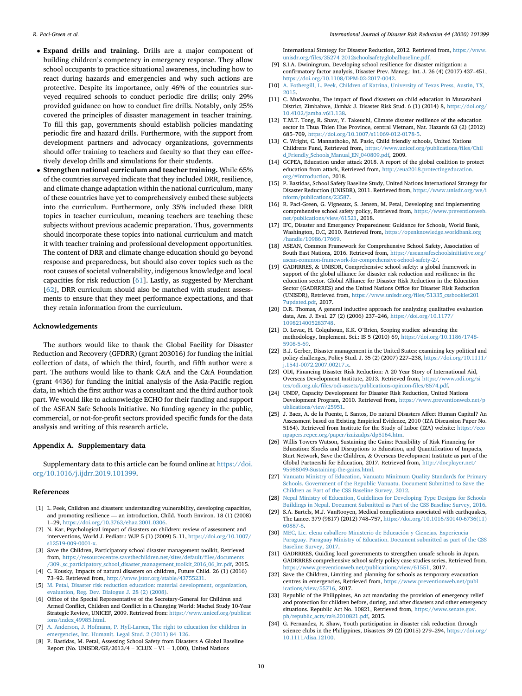- <span id="page-9-0"></span>� **Expand drills and training.** Drills are a major component of building children's competency in emergency response. They allow school occupants to practice situational awareness, including how to react during hazards and emergencies and why such actions are protective. Despite its importance, only 46% of the countries surveyed required schools to conduct periodic fire drills; only 29% provided guidance on how to conduct fire drills. Notably, only 25% covered the principles of disaster management in teacher training. To fill this gap, governments should establish policies mandating periodic fire and hazard drills. Furthermore, with the support from development partners and advocacy organizations, governments should offer training to teachers and faculty so that they can effectively develop drills and simulations for their students.
- � **Strengthen national curriculum and teacher training.** While 65% of the countries surveyed indicate that they included DRR, resilience, and climate change adaptation within the national curriculum, many of these countries have yet to comprehensively embed these subjects into the curriculum. Furthermore, only 35% included these DRR topics in teacher curriculum, meaning teachers are teaching these subjects without previous academic preparation. Thus, governments should incorporate these topics into national curriculum and match it with teacher training and professional development opportunities. The content of DRR and climate change education should go beyond response and preparedness, but should also cover topics such as the root causes of societal vulnerability, indigenous knowledge and local capacities for risk reduction [[61\]](#page-10-0). Lastly, as suggested by Merchant [[62\]](#page-10-0), DRR curriculum should also be matched with student assessments to ensure that they meet performance expectations, and that they retain information from the curriculum.

### **Acknowledgements**

The authors would like to thank the Global Facility for Disaster Reduction and Recovery (GFDRR) (grant 203016) for funding the initial collection of data, of which the third, fourth, and fifth author were a part. The authors would like to thank C&A and the C&A Foundation (grant 4436) for funding the initial analysis of the Asia-Pacific region data, in which the first author was a consultant and the third author took part. We would like to acknowledge ECHO for their funding and support of the ASEAN Safe Schools Initiative. No funding agency in the public, commercial, or not-for-profit sectors provided specific funds for the data analysis and writing of this research article.

# **Appendix A. Supplementary data**

Supplementary data to this article can be found online at [https://doi.](https://doi.org/10.1016/j.ijdrr.2019.101399)  [org/10.1016/j.ijdrr.2019.101399.](https://doi.org/10.1016/j.ijdrr.2019.101399)

## **References**

- [1] L. Peek, Children and disasters: understanding vulnerability, developing capacities, and promoting resilience — an introduction, Child. Youth Environ. 18 (1) (2008) 1–29, [https://doi.org/10.3763/ehaz.2001.0306.](https://doi.org/10.3763/ehaz.2001.0306)
- [2] N. Kar, Psychological impact of disasters on children: review of assessment and interventions, World J. Pediatr.: WJP 5 (1) (2009) 5–11, [https://doi.org/10.1007/](https://doi.org/10.1007/s12519-009-0001-x)  [s12519-009-0001-x.](https://doi.org/10.1007/s12519-009-0001-x)
- [3] Save the Children, Participatory school disaster management toolkit, Retrieved from, [https://resourcecentre.savethechildren.net/sites/default/files/documents](https://resourcecentre.savethechildren.net/sites/default/files/documents/309._sc_participatory_school_disaster_management_toolkit_2016_06_ltr.pdf) [/309.\\_sc\\_participatory\\_school\\_disaster\\_management\\_toolkit\\_2016\\_06\\_ltr.pdf,](https://resourcecentre.savethechildren.net/sites/default/files/documents/309._sc_participatory_school_disaster_management_toolkit_2016_06_ltr.pdf) 2015.
- [4] C. Kousky, Impacts of natural disasters on children, Future Child. 26 (1) (2016) 73–92. Retrieved from, <http://www.jstor.org/stable/43755231>.
- [5] [M. Petal, Disaster risk reduction education: material development, organization,](http://refhub.elsevier.com/S2212-4209(19)30540-0/sref5)  [evaluation, Reg. Dev. Dialogue J. 28 \(2\) \(2008\)](http://refhub.elsevier.com/S2212-4209(19)30540-0/sref5).
- [6] Office of the Special Representative of the Secretary-General for Children and Armed Conflict, Children and Conflict in a Changing World: Machel Study 10-Year Strategic Review, UNICEF, 2009. Retrieved from: [https://www.unicef.org/publicat](https://www.unicef.org/publications/index_49985.html)  [ions/index\\_49985.html](https://www.unicef.org/publications/index_49985.html).
- [7] [A. Anderson, J. Hofmann, P. Hyll-Larsen, The right to education for children in](http://refhub.elsevier.com/S2212-4209(19)30540-0/sref7) [emergencies, Int. Humanit. Legal Stud. 2 \(2011\) 84](http://refhub.elsevier.com/S2212-4209(19)30540-0/sref7)–126.
- [8] P. Bastidas, M. Petal, Assessing School Safety from Disasters A Global Baseline Report (No. UNISDR/GE/2013/4 – ICLUX – V1 – 1,000), United Nations

International Strategy for Disaster Reduction, 2012. Retrieved from, [https://www.](https://www.unisdr.org/files/35274_2012schoolsafetyglobalbaseline.pdf)  [unisdr.org/files/35274\\_2012schoolsafetyglobalbaseline.pdf](https://www.unisdr.org/files/35274_2012schoolsafetyglobalbaseline.pdf).

- [9] S.I.A. Dwiningrum, Developing school resilience for disaster mitigation: a confirmatory factor analysis, Disaster Prev. Manag.: Int. J. 26 (4) (2017) 437–451, <https://doi.org/10.1108/DPM-02-2017-0042>.
- [10] [A. Fothergill, L. Peek, Children of Katrina, University of Texas Press, Austin, TX,](http://refhub.elsevier.com/S2212-4209(19)30540-0/sref10) [2015](http://refhub.elsevier.com/S2212-4209(19)30540-0/sref10).
- [11] C. Mudavanhu, The impact of flood disasters on child education in Muzarabani District, Zimbabwe, Jàmbá: J. Disaster Risk Stud. 6 (1) (2014) 8, https://doi.org/ [10.4102/jamba.v6i1.138.](https://doi.org/10.4102/jamba.v6i1.138)
- [12] T.M.T. Tong, R. Shaw, Y. Takeuchi, Climate disaster resilience of the education sector in Thua Thien Hue Province, central Vietnam, Nat. Hazards 63 (2) (2012) 685–709, [https://doi.org/10.1007/s11069-012-0178-5.](https://doi.org/10.1007/s11069-012-0178-5)
- [13] C. Wright, C. Mannathoko, M. Pasic, Child friendly schools, United Nations Childrens Fund, Retrieved from, [https://www.unicef.org/publications/files/Chil](https://www.unicef.org/publications/files/Child_Friendly_Schools_Manual_EN_040809.pdf) [d\\_Friendly\\_Schools\\_Manual\\_EN\\_040809.pdf](https://www.unicef.org/publications/files/Child_Friendly_Schools_Manual_EN_040809.pdf), 2009.
- [14] GCPEA, Education under attack 2018. A report of the global coalition to protect education from attack, Retrieved from, [http://eua2018.protectingeducation.](http://eua2018.protectingeducation.org/#introduction) [org/#introduction](http://eua2018.protectingeducation.org/#introduction), 2018.
- [15] P. Bastidas, School Safety Baseline Study, United Nations International Strategy for Disaster Reduction (UNISDR), 2011. Retrieved from, [https://www.unisdr.org/we/i](https://www.unisdr.org/we/inform/publications/23587)  [nform/publications/23587.](https://www.unisdr.org/we/inform/publications/23587)
- [16] R. Paci-Green, G. Vigneaux, S. Jensen, M. Petal, Developing and implementing comprehensive school safety policy, Retrieved from, [https://www.preventionweb.](https://www.preventionweb.net/publications/view/61521)  [net/publications/view/61521](https://www.preventionweb.net/publications/view/61521), 2018.
- [17] IFC, Disaster and Emergency Preparedness: Guidance for Schools, World Bank, Washington, D.C, 2010. Retrieved from, [https://openknowledge.worldbank.org](https://openknowledge.worldbank.org/handle/10986/17669) [/handle/10986/17669.](https://openknowledge.worldbank.org/handle/10986/17669)
- [18] ASEAN, Common Framework for Comprehensive School Safety, Association of South East Nations, 2016. Retrieved from, [https://aseansafeschoolsinitiative.org/](https://aseansafeschoolsinitiative.org/asean-common-framework-for-comprehensive-school-safety-2/)  [asean-common-framework-for-comprehensive-school-safety-2/.](https://aseansafeschoolsinitiative.org/asean-common-framework-for-comprehensive-school-safety-2/)
- [19] GADRRRES, & UNISDR, Comprehensive school safety: a global framework in support of the global alliance for disaster risk reduction and resilience in the education sector. Global Alliance for Disaster Risk Reduction in the Education Sector (GADRRRES) and the United Nations Office for Disaster Risk Reduction (UNISDR), Retrieved from, [https://www.unisdr.org/files/51335\\_cssbooklet201](https://www.unisdr.org/files/51335_cssbooklet2017updated.pdf) [7updated.pdf,](https://www.unisdr.org/files/51335_cssbooklet2017updated.pdf) 2017.
- [20] D.R. Thomas, A general inductive approach for analyzing qualitative evaluation data, Am. J. Eval. 27 (2) (2006) 237–246, [https://doi.org/10.1177/](https://doi.org/10.1177/1098214005283748)  [1098214005283748.](https://doi.org/10.1177/1098214005283748)
- [21] D. Levac, H. Colquhoun, K.K. O'Brien, Scoping studies: advancing the methodology, Implement. Sci.: IS 5 (2010) 69, [https://doi.org/10.1186/1748-](https://doi.org/10.1186/1748-5908-5-69) [5908-5-69](https://doi.org/10.1186/1748-5908-5-69).
- [22] B.J. Gerber, Disaster management in the United States: examining key political and policy challenges, Policy Stud. J. 35 (2) (2007) 227–238, [https://doi.org/10.1111/](https://doi.org/10.1111/j.1541-0072.2007.00217.x)  [j.1541-0072.2007.00217.x](https://doi.org/10.1111/j.1541-0072.2007.00217.x).
- [23] ODI, Financing Disaster Risk Reduction: A 20 Year Story of International Aid, Overseas Development Institute, 2013. Retrieved from, [https://www.odi.org/si](https://www.odi.org/sites/odi.org.uk/files/odi-assets/publications-opinion-files/8574.pdf)  [tes/odi.org.uk/files/odi-assets/publications-opinion-files/8574.pdf](https://www.odi.org/sites/odi.org.uk/files/odi-assets/publications-opinion-files/8574.pdf).
- [24] UNDP, Capacity Development for Disaster Risk Reduction, United Nations Development Program, 2010. Retrieved from, [https://www.preventionweb.net/p](https://www.preventionweb.net/publications/view/25951)  [ublications/view/25951.](https://www.preventionweb.net/publications/view/25951)
- [25] J. Baez, A. de la Fuente, I. Santos, Do natural Disasters Affect Human Capital? An Assessment based on Existing Empirical Evidence, 2010 (IZA Discussion Paper No. 5164). Retrieved from Institute for the Study of Labor (IZA) website: [https://eco](https://econpapers.repec.org/paper/izaizadps/dp5164.htm)  [npapers.repec.org/paper/izaizadps/dp5164.htm](https://econpapers.repec.org/paper/izaizadps/dp5164.htm).
- [26] Willis Towers Watson, Sustaining the Gains: Feasibility of Risk Financing for Education: Shocks and Disruptions to Education, and Quantification of Impacts, Start Network, Save the Children, & Overseas Development Institute as part of the Global Partnershi for Education, 2017. Retrieved from, [http://docplayer.net/](http://docplayer.net/95988049-Sustaining-the-gains.html) [95988049-Sustaining-the-gains.html.](http://docplayer.net/95988049-Sustaining-the-gains.html)
- [27] [Vanuatu Ministry of Education, Vanuatu Minimum Quality Standards for Primary](http://refhub.elsevier.com/S2212-4209(19)30540-0/sref27)  [Schools. Government of the Republic Vanuatu. Document Submitted to Save the](http://refhub.elsevier.com/S2212-4209(19)30540-0/sref27)  [Children as Part of the CSS Baseline Survey, 2012.](http://refhub.elsevier.com/S2212-4209(19)30540-0/sref27)
- [28] [Nepal Ministry of Education, Guidelines for Developing Type Designs for Schools](http://refhub.elsevier.com/S2212-4209(19)30540-0/sref28)  [Buildings in Nepal. Document Submitted as Part of the CSS Baseline Survey, 2016.](http://refhub.elsevier.com/S2212-4209(19)30540-0/sref28)
- [29] S.A. Bartels, M.J. VanRooyen, Medical complications associated with earthquakes, The Lancet 379 (9817) (2012) 748–757, [https://doi.org/10.1016/S0140-6736\(11\)](https://doi.org/10.1016/S0140-6736(11)60887-8)  [60887-8.](https://doi.org/10.1016/S0140-6736(11)60887-8)
- [30] MEC, Lic. elena caballero Ministerio de Educación y Ciencias. Experiencia [Paraguay. Paraguay Ministry of Education. Document submitted as part of the CSS](http://refhub.elsevier.com/S2212-4209(19)30540-0/sref30)  [Baseline Survey, 2017](http://refhub.elsevier.com/S2212-4209(19)30540-0/sref30).
- [31] GADRRRES, Guiding local governments to strengthen unsafe schools in Japan. GADRRRES comprehensive school safety policy case studies series, Retrieved from, <https://www.preventionweb.net/publications/view/61551>, 2017.
- [32] Save the Children, Limiting and planning for schools as temporary evacuation centres in emergencies, Retrieved from, [https://www.preventionweb.net/publ](https://www.preventionweb.net/publications/view/55716)  [ications/view/55716,](https://www.preventionweb.net/publications/view/55716) 2017.
- [33] Republic of the Philippines, An act mandating the provision of emergency relief and protection for children before, during, and after disasters and other emergency situations. Republic Act No. 10821, Retrieved from, [https://www.senate.gov.](https://www.senate.gov.ph/republic_acts/ra%2010821.pdf)  [ph/republic\\_acts/ra%2010821.pdf](https://www.senate.gov.ph/republic_acts/ra%2010821.pdf), 2015.
- [34] G. Fernandez, R. Shaw, Youth participation in disaster risk reduction through science clubs in the Philippines, Disasters 39 (2) (2015) 279–294, https://doi.org, [10.1111/disa.12100.](https://doi.org/10.1111/disa.12100)